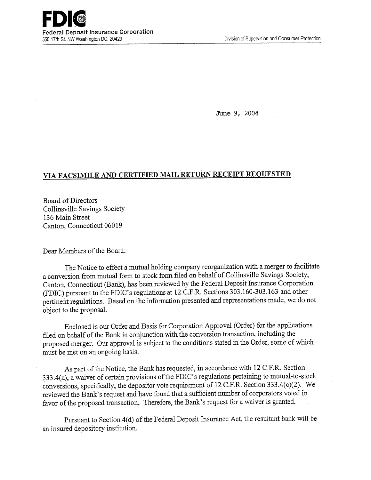

June 9, 2004

## **VIA FACSIMILE AND CERTIFIED MAIL RETURN RECEIPT REQUESTED**

Board of Directors Collinsville Savings Society 136 Main Street Canton, Connecticut 06019

Dear Members of the Board:

The Notice to effect a mutual holding company reorganization with a merger to facilitate a conversion from mutual form to stock form filed on behalf of Collinsville Savings Society, Canton, Connecticut (Bank), has been reviewed by the Federal Deposit Insurance Corporation (FDIC) pursuant to the FDIC's regulations at 12 C.F.R. Sections 3 03.160-303.163 and other pertinent regulations. Based on the information presented and representations made, we do not object to the proposal.

Enclosed is our Order and Basis for Corporation Approval (Order) for the applications filed on behalf of the Bank in conjunction with the conversion transaction, including the proposed merger. Our approval is subject to the conditions stated in the Order, some of which must be met on an ongoing basis.

As part of the Notice, the Bank has requested, in accordance with 12 C.F.R. Section 333.4(a), a waiver of certain provisions of the FDIC's regulations pertaining to mutual-to-stock conversions, specifically, the depositor vote requirement of 12 C.F.R. Section 333.4(c)(2). We reviewed the Bank's request and have found that a sufficient number of corporators voted in favor of the proposed transaction. Therefore, the Bank's request for a waiver is granted.

Pursuant to Section 4(d) of the Federal Deposit Insurance Act, the resultant bank will be an insured depository institution.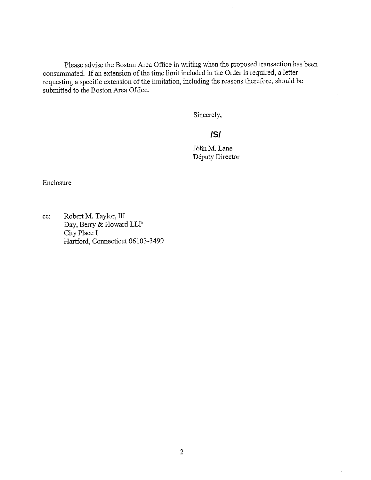Please advise the Boston Area Office in writing when the proposed transaction has been consummated. If an extension of the time limit included in the Order is required, a letter requesting a specific extension of the limitation, including the reasons therefore, should be submitted to the Boston Area Office.

Sincerely,

## **/S/**

John M. Lane Deputy Director

Enclosure

cc: Robert M. Taylor, III Day, Berry & Howard LLP City Place I Hartford, Connecticut 06103-3499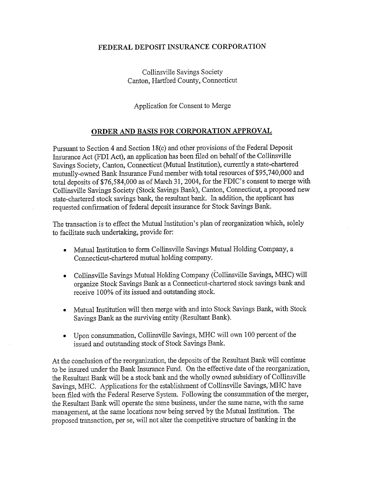## **FEDERAL DEPOSIT INSURANCE CORPORATION**

Collinsville Savings Society Canton, Hartford County, Connecticut

Application for Consent to Merge

## **ORDER AND BASIS FOR CORPORATION APPROVAL**

Pursuant to Section 4 and Section 18(c) and other provisions of the Federal Deposit Insurance Act (FDI Act), an application has been filed on behalf of the Collinsville Savings Society, Canton, Connecticut (Mutual Institution), currently a state-chartered mutually-owned Bank Insurance Fund member with total resources of \$95,740,000 and total deposits of \$76,584,000 as of March 31, 2004, for the FDIC's consent to merge with Collinsville Savings Society (Stock Savings Bank), Canton, Connecticut, a proposed new state-chartered stock savings bank, the resultant bank. In addition, the applicant has requested confirmation of federal deposit insurance for Stock Savings Bank.

The transaction is to effect the Mutual Institution's plan of reorganization which, solely to facilitate such undertaking, provide for:

- Mutual Institution to form Collinsville Savings Mutual Holding Company, a Connecticut-chartered mutual holding company.
- Collinsville Savings Mutual Holding Company (Collinsville Savings, MHC) will organize Stock Savings Bank as a Connecticut-chartered stock savings bank and receive 100% of its issued and outstanding stock.
- Mutual Institution will then merge with and into Stock Savings Bank, with Stock Savings Bank as the surviving entity (Resultant Bank).
- Upon consummation, Collinsville Savings, MHC will own 100 percent of the issued and outstanding stock of Stock Savings Bank.

At the conclusion of the reorganization, the deposits of the Resultant Bank will continue to be insured under the Bank Insurance Fund. On the effective date of the reorganization, the Resultant Bank will be a stock bank and the wholly owned subsidiary of Collinsville Savings, MHC. Applications for the establishment of Collinsville Savings, MHC have been filed with the Federal Reserve System. Following the consummation of the merger, the Resultant Bank will operate the same business, under the same name, with the same management, at the same locations now being served by the Mutual Institution. The proposed transaction, per Se, will not alter the competitive structure of banking in the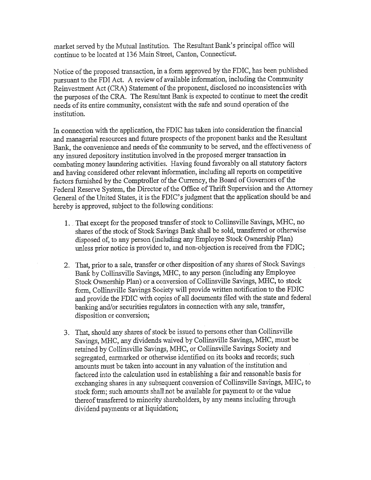market served by the Mutual Institution. The Resultant Bank's principal office will continue to be located at 136 Main Street, Canton, Connecticut.

Notice of the proposed transaction, in a form approved by the FDIC, has been published pursuant to the FDI Act. A review of available information, including the Community Reinvestment Act (CRA) Statement of the proponent, disclosed no inconsistencies with the purposes of the CRA. The Resultant Bank is expected to continue to meet the credit needs of its entire community, consistent with the safe and sound operation of the institution.

In connection with the application, the FDIC has taken into consideration the financial and managerial resources and future prospects of the proponent banks and the Resultant Bank, the convenience and needs of the community to be served, and the effectiveness of any insured depository institution involved in the proposed merger transaction in combating money laundering activities. Having found favorably on all statutory factors and having considered other relevant information, including all reports on competitive factors furnished by the Comptroller of the Currency, the Board of Governors of the Federal Reserve System, the Director of the Office of Thrift Supervision and the Attorney General of the United States, it is the FDIC's judgment that the application should be and hereby is approved, subject to the following conditions:

- 1.. That except for the proposed transfer of stock to Collinsville Savings, MHC, no shares of the stock of Stock Savings Bank shall be sold, transferred or otherwise disposed of, to any person (including any Employee Stock Ownership Plan) unless prior notice is provided to, and non-objection is received from the FDIC;
- 2. That, prior to a sale, transfer or other disposition of any shares of Stock Savings Bank by Collinsville Savings, MHC, to any person (including any Employee Stock Ownership Plan) or a conversion of Collinsville Savings, MHC, to stock form, Collinsville Savings Society will provide written notification to the FDIC and provide the FDIC with copies of all documents filed with the state and federal banking and/or securities regulators in connection with any sale, transfer, disposition or conversion;
- 3. That, should any shares of stock be issued to persons other than Collinsville Savings, MIHC, any dividends waived by Collinsville Savings, MHC, must be retained by Collinsville Savings, MHC, or Collinsville Savings Society and segregated, earmarked or otherwise identified on its books and records; such amounts must be taken into account in any valuation of the institution and factored into the calculation used in establishing a fair and reasonable basis for exchanging shares in any subsequent conversion of Collinsville Savings, MHC, to stock form; such amounts shall not be available for payment to or the value thereof transferred to minority shareholders, by any means including through dividend payments or at liquidation;